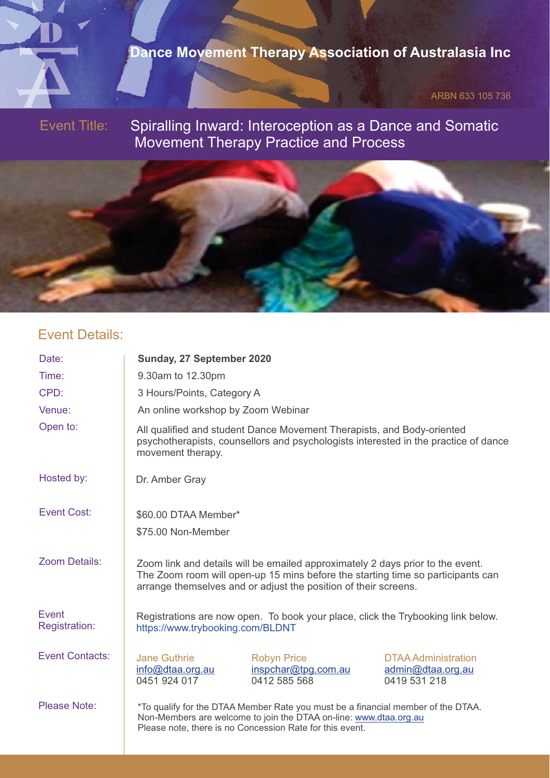

## **Dance Movement Therapy Association of Australasia Inc**

ARBN 633 105 736

Event Title:

Spiralling Inward: Interoception as a Dance and Somatic Movement Therapy Practice and Process

#### Event Details:

Date: Time: CPD: Venue: Open to: Hosted by: Event Cost: **Sunday, 27 September 2020** 9.30am to 12.30pm 3 Hours/Points, Category A An online workshop by Zoom Webinar \$60.00 DTAA Member\* \$75.00 Non-Member All qualified and student Dance Movement Therapists, and Body-oriented psychotherapists, counsellors and psychologists interested in the practice of dance movement therapy. Zoom Details: Event Registration: Event Contacts: Please Note: \* To qualify for the DTAA Member Rate you must be a financial member of the DTAA. Non-Members are welcome to join the DTAA on-line: www.dtaa.org.au Please note, there is no Concession Rate for this event. Jane Guthrie info@dtaa.org.au 0451 924 017 Robyn Price inspchar@tpg.com.au 0412 585 568 DTAA Administration admin@dtaa.org.au 0419 531 218 Registrations are now open. To book your place, click the Trybooking link below. https://www.trybooking.com/BLDNT Zoom link and details will be emailed approximately 2 days prior to the event. The Zoom room will open-up 15 mins before the starting time so participants can arrange themselves and or adjust the position of their screens. Dr. Amber Gray